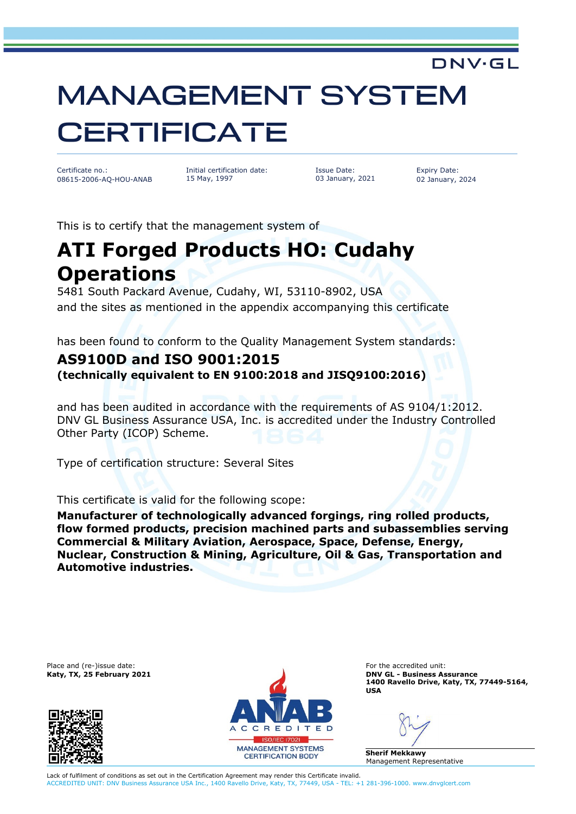## MANAGEMENT SYSTEM **CERTIFICATE**

Certificate no.: 08615-2006-AQ-HOU-ANAB Initial certification date: 15 May, 1997

Issue Date: 03 January, 2021 Expiry Date: 02 January, 2024

**DNV·GL** 

This is to certify that the management system of

## **ATI Forged Products HO: Cudahy Operations**

5481 South Packard Avenue, Cudahy, WI, 53110-8902, USA and the sites as mentioned in the appendix accompanying this certificate

has been found to conform to the Quality Management System standards:

## **AS9100D and ISO 9001:2015**

**(technically equivalent to EN 9100:2018 and JISQ9100:2016)**

and has been audited in accordance with the requirements of AS 9104/1:2012. DNV GL Business Assurance USA, Inc. is accredited under the Industry Controlled Other Party (ICOP) Scheme.

Type of certification structure: Several Sites

This certificate is valid for the following scope:

**Manufacturer of technologically advanced forgings, ring rolled products, flow formed products, precision machined parts and subassemblies serving Commercial & Military Aviation, Aerospace, Space, Defense, Energy, Nuclear, Construction & Mining, Agriculture, Oil & Gas, Transportation and Automotive industries.**





**Katy, TX, 25 February 2021 DNV GL - Business Assurance 1400 Ravello Drive, Katy, TX, 77449-5164, USA**

**Sherif Mekkawy** Management Representative

Lack of fulfilment of conditions as set out in the Certification Agreement may render this Certificate invalid. ACCREDITED UNIT: DNV Business Assurance USA Inc., 1400 Ravello Drive, Katy, TX, 77449, USA - TEL: +1 281-396-1000. www.dnvglcert.com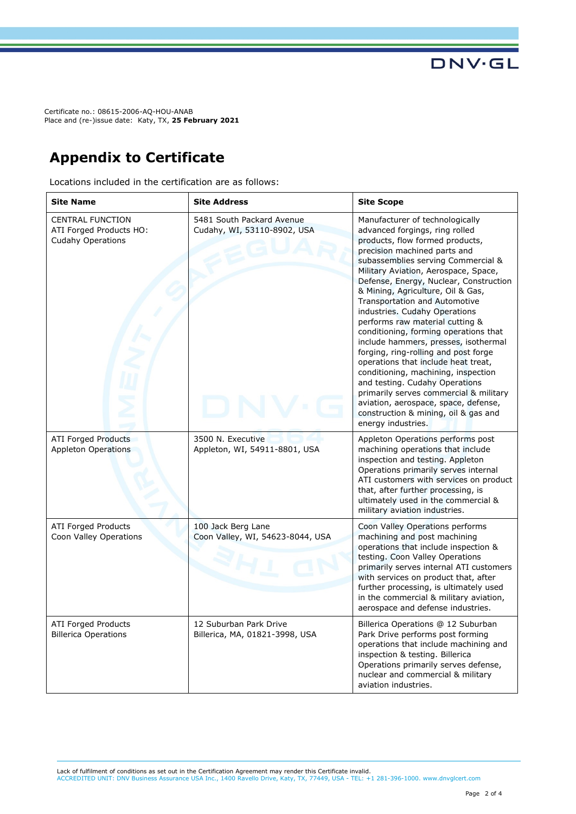Certificate no.: 08615-2006-AQ-HOU-ANAB Place and (re-)issue date: Katy, TX, **25 February 2021**

## **Appendix to Certificate**

Locations included in the certification are as follows:

| <b>Site Name</b>                                                               | <b>Site Address</b>                                      | <b>Site Scope</b>                                                                                                                                                                                                                                                                                                                                                                                                                                                                                                                                                                                                                                                                                                                                                                                      |
|--------------------------------------------------------------------------------|----------------------------------------------------------|--------------------------------------------------------------------------------------------------------------------------------------------------------------------------------------------------------------------------------------------------------------------------------------------------------------------------------------------------------------------------------------------------------------------------------------------------------------------------------------------------------------------------------------------------------------------------------------------------------------------------------------------------------------------------------------------------------------------------------------------------------------------------------------------------------|
| <b>CENTRAL FUNCTION</b><br>ATI Forged Products HO:<br><b>Cudahy Operations</b> | 5481 South Packard Avenue<br>Cudahy, WI, 53110-8902, USA | Manufacturer of technologically<br>advanced forgings, ring rolled<br>products, flow formed products,<br>precision machined parts and<br>subassemblies serving Commercial &<br>Military Aviation, Aerospace, Space,<br>Defense, Energy, Nuclear, Construction<br>& Mining, Agriculture, Oil & Gas,<br><b>Transportation and Automotive</b><br>industries. Cudahy Operations<br>performs raw material cutting &<br>conditioning, forming operations that<br>include hammers, presses, isothermal<br>forging, ring-rolling and post forge<br>operations that include heat treat,<br>conditioning, machining, inspection<br>and testing. Cudahy Operations<br>primarily serves commercial & military<br>aviation, aerospace, space, defense,<br>construction & mining, oil & gas and<br>energy industries. |
| <b>ATI Forged Products</b><br>Appleton Operations                              | 3500 N. Executive<br>Appleton, WI, 54911-8801, USA       | Appleton Operations performs post<br>machining operations that include<br>inspection and testing. Appleton<br>Operations primarily serves internal<br>ATI customers with services on product<br>that, after further processing, is<br>ultimately used in the commercial &<br>military aviation industries.                                                                                                                                                                                                                                                                                                                                                                                                                                                                                             |
| <b>ATI Forged Products</b><br>Coon Valley Operations                           | 100 Jack Berg Lane<br>Coon Valley, WI, 54623-8044, USA   | Coon Valley Operations performs<br>machining and post machining<br>operations that include inspection &<br>testing. Coon Valley Operations<br>primarily serves internal ATI customers<br>with services on product that, after<br>further processing, is ultimately used<br>in the commercial & military aviation,<br>aerospace and defense industries.                                                                                                                                                                                                                                                                                                                                                                                                                                                 |
| <b>ATI Forged Products</b><br><b>Billerica Operations</b>                      | 12 Suburban Park Drive<br>Billerica, MA, 01821-3998, USA | Billerica Operations @ 12 Suburban<br>Park Drive performs post forming<br>operations that include machining and<br>inspection & testing. Billerica<br>Operations primarily serves defense,<br>nuclear and commercial & military<br>aviation industries.                                                                                                                                                                                                                                                                                                                                                                                                                                                                                                                                                |

Lack of fulfilment of conditions as set out in the Certification Agreement may render this Certificate invalid.

ACCREDITED UNIT: DNV Business Assurance USA Inc., 1400 Ravello Drive, Katy, TX, 77449, USA - TEL: +1 281-396-1000. www.dnvglcert.com

**DNV·GL**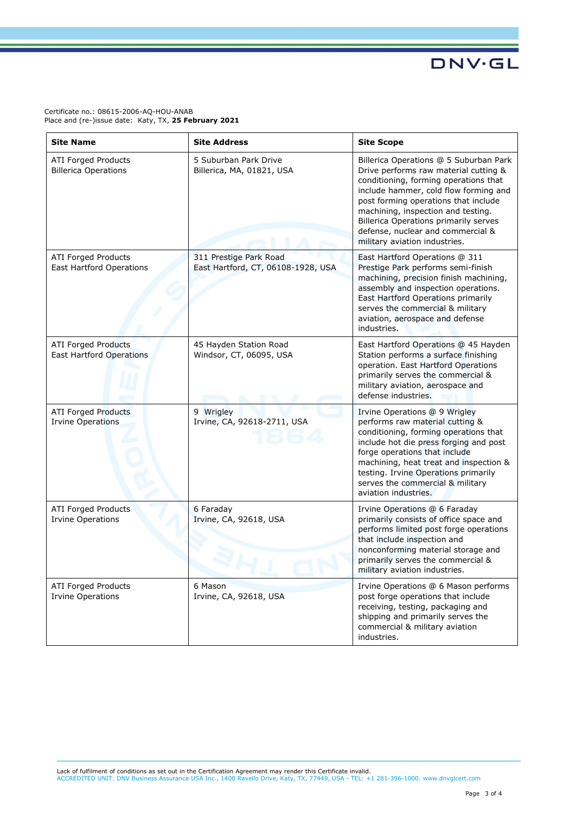**DNV·GL** 

Certificate no.: 08615-2006-AQ-HOU-ANAB Place and (re-)issue date: Katy, TX, **25 February 2021**

| <b>Site Name</b>                                              | <b>Site Address</b>                                          | <b>Site Scope</b>                                                                                                                                                                                                                                                                                                                                                     |
|---------------------------------------------------------------|--------------------------------------------------------------|-----------------------------------------------------------------------------------------------------------------------------------------------------------------------------------------------------------------------------------------------------------------------------------------------------------------------------------------------------------------------|
| <b>ATI Forged Products</b><br><b>Billerica Operations</b>     | 5 Suburban Park Drive<br>Billerica, MA, 01821, USA           | Billerica Operations @ 5 Suburban Park<br>Drive performs raw material cutting &<br>conditioning, forming operations that<br>include hammer, cold flow forming and<br>post forming operations that include<br>machining, inspection and testing.<br><b>Billerica Operations primarily serves</b><br>defense, nuclear and commercial &<br>military aviation industries. |
| ATI Forged Products<br><b>East Hartford Operations</b>        | 311 Prestige Park Road<br>East Hartford, CT, 06108-1928, USA | East Hartford Operations @ 311<br>Prestige Park performs semi-finish<br>machining, precision finish machining,<br>assembly and inspection operations.<br>East Hartford Operations primarily<br>serves the commercial & military<br>aviation, aerospace and defense<br>industries.                                                                                     |
| <b>ATI Forged Products</b><br><b>East Hartford Operations</b> | 45 Hayden Station Road<br>Windsor, CT, 06095, USA            | East Hartford Operations @ 45 Hayden<br>Station performs a surface finishing<br>operation. East Hartford Operations<br>primarily serves the commercial &<br>military aviation, aerospace and<br>defense industries.                                                                                                                                                   |
| <b>ATI Forged Products</b><br><b>Irvine Operations</b>        | 9 Wrigley<br>Irvine, CA, 92618-2711, USA                     | Irvine Operations @ 9 Wrigley<br>performs raw material cutting &<br>conditioning, forming operations that<br>include hot die press forging and post<br>forge operations that include<br>machining, heat treat and inspection &<br>testing. Irvine Operations primarily<br>serves the commercial & military<br>aviation industries.                                    |
| <b>ATI Forged Products</b><br><b>Irvine Operations</b>        | 6 Faraday<br>Irvine, CA, 92618, USA                          | Irvine Operations @ 6 Faraday<br>primarily consists of office space and<br>performs limited post forge operations<br>that include inspection and<br>nonconforming material storage and<br>primarily serves the commercial &<br>military aviation industries.                                                                                                          |
| ATI Forged Products<br><b>Irvine Operations</b>               | 6 Mason<br>Irvine, CA, 92618, USA                            | Irvine Operations @ 6 Mason performs<br>post forge operations that include<br>receiving, testing, packaging and<br>shipping and primarily serves the<br>commercial & military aviation<br>industries.                                                                                                                                                                 |

Lack of fulfilment of conditions as set out in the Certification Agreement may render this Certificate invalid.<br>ACCREDITED UNIT: DNV Business Assurance USA Inc., 1400 Ravello Drive, Katy, TX, 77449, USA - TEL: +1 281-396-1